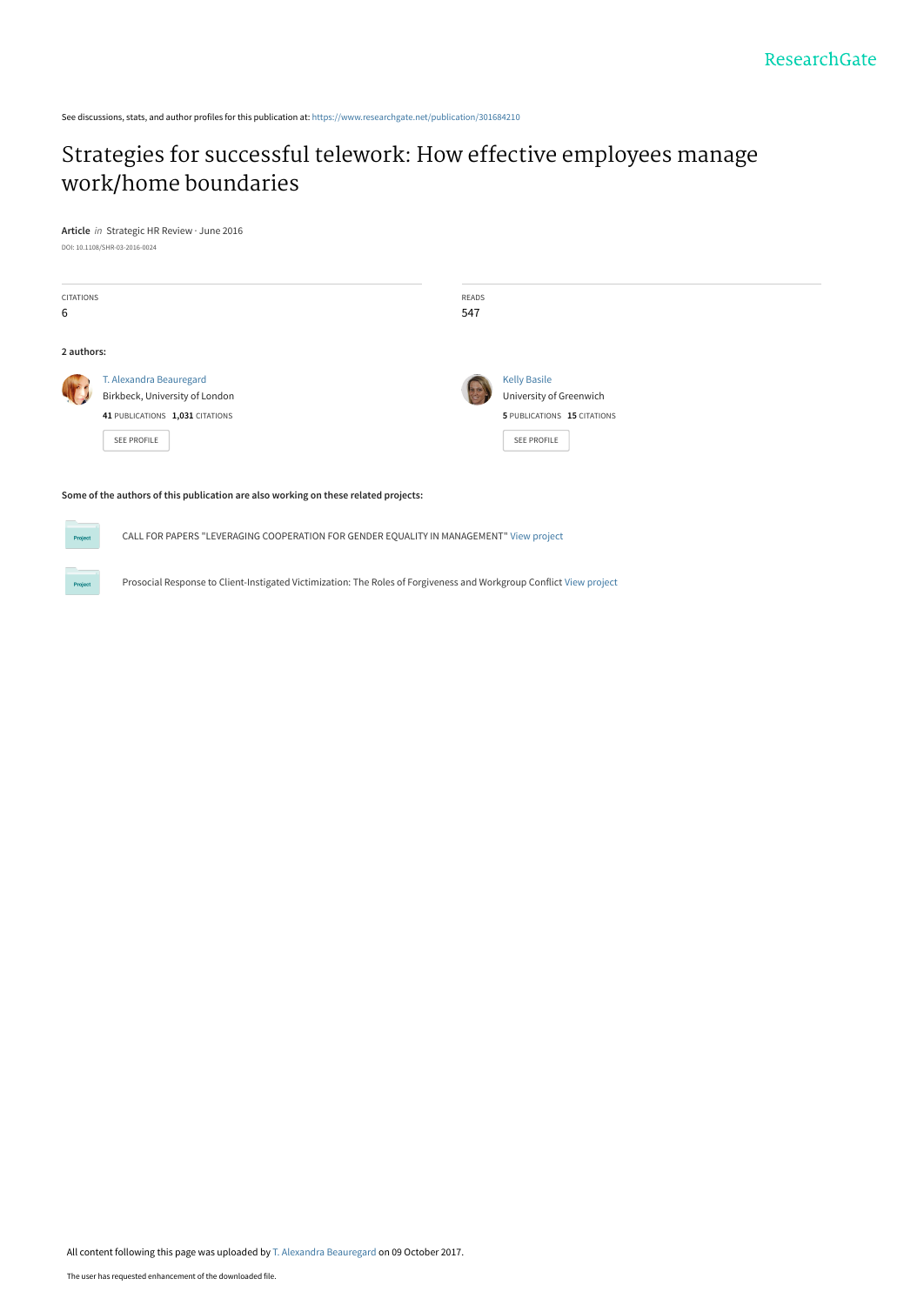See discussions, stats, and author profiles for this publication at: [https://www.researchgate.net/publication/301684210](https://www.researchgate.net/publication/301684210_Strategies_for_successful_telework_How_effective_employees_manage_workhome_boundaries?enrichId=rgreq-ba8ecc34afdc4b020e4e99f9f741b283-XXX&enrichSource=Y292ZXJQYWdlOzMwMTY4NDIxMDtBUzo1NDc1MDY3MDQ4NDY4NDhAMTUwNzU0NzE3ODU4OQ%3D%3D&el=1_x_2&_esc=publicationCoverPdf)

# [Strategies for successful telework: How effective employees manage](https://www.researchgate.net/publication/301684210_Strategies_for_successful_telework_How_effective_employees_manage_workhome_boundaries?enrichId=rgreq-ba8ecc34afdc4b020e4e99f9f741b283-XXX&enrichSource=Y292ZXJQYWdlOzMwMTY4NDIxMDtBUzo1NDc1MDY3MDQ4NDY4NDhAMTUwNzU0NzE3ODU4OQ%3D%3D&el=1_x_3&_esc=publicationCoverPdf) work/home boundaries

**Article** in Strategic HR Review · June 2016 DOI: 10.1108/SHR-03-2016-0024

| <b>CITATIONS</b><br>6 |                                                                                                                    | READS<br>547 |                                                                                                     |  |
|-----------------------|--------------------------------------------------------------------------------------------------------------------|--------------|-----------------------------------------------------------------------------------------------------|--|
| 2 authors:            |                                                                                                                    |              |                                                                                                     |  |
|                       | T. Alexandra Beauregard<br>Birkbeck, University of London<br>41 PUBLICATIONS 1,031 CITATIONS<br><b>SEE PROFILE</b> |              | <b>Kelly Basile</b><br>University of Greenwich<br>5 PUBLICATIONS 15 CITATIONS<br><b>SEE PROFILE</b> |  |

#### **Some of the authors of this publication are also working on these related projects:**

CALL FOR PAPERS "LEVERAGING COOPERATION FOR GENDER EQUALITY IN MANAGEMENT" [View project](https://www.researchgate.net/project/CALL-FOR-PAPERS-LEVERAGING-COOPERATION-FOR-GENDER-EQUALITY-IN-MANAGEMENT?enrichId=rgreq-ba8ecc34afdc4b020e4e99f9f741b283-XXX&enrichSource=Y292ZXJQYWdlOzMwMTY4NDIxMDtBUzo1NDc1MDY3MDQ4NDY4NDhAMTUwNzU0NzE3ODU4OQ%3D%3D&el=1_x_9&_esc=publicationCoverPdf)

Prosocial Response to Client-Instigated Victimization: The Roles of Forgiveness and Workgroup Conflict [View project](https://www.researchgate.net/project/Prosocial-Response-to-Client-Instigated-Victimization-The-Roles-of-Forgiveness-and-Workgroup-Conflict?enrichId=rgreq-ba8ecc34afdc4b020e4e99f9f741b283-XXX&enrichSource=Y292ZXJQYWdlOzMwMTY4NDIxMDtBUzo1NDc1MDY3MDQ4NDY4NDhAMTUwNzU0NzE3ODU4OQ%3D%3D&el=1_x_9&_esc=publicationCoverPdf)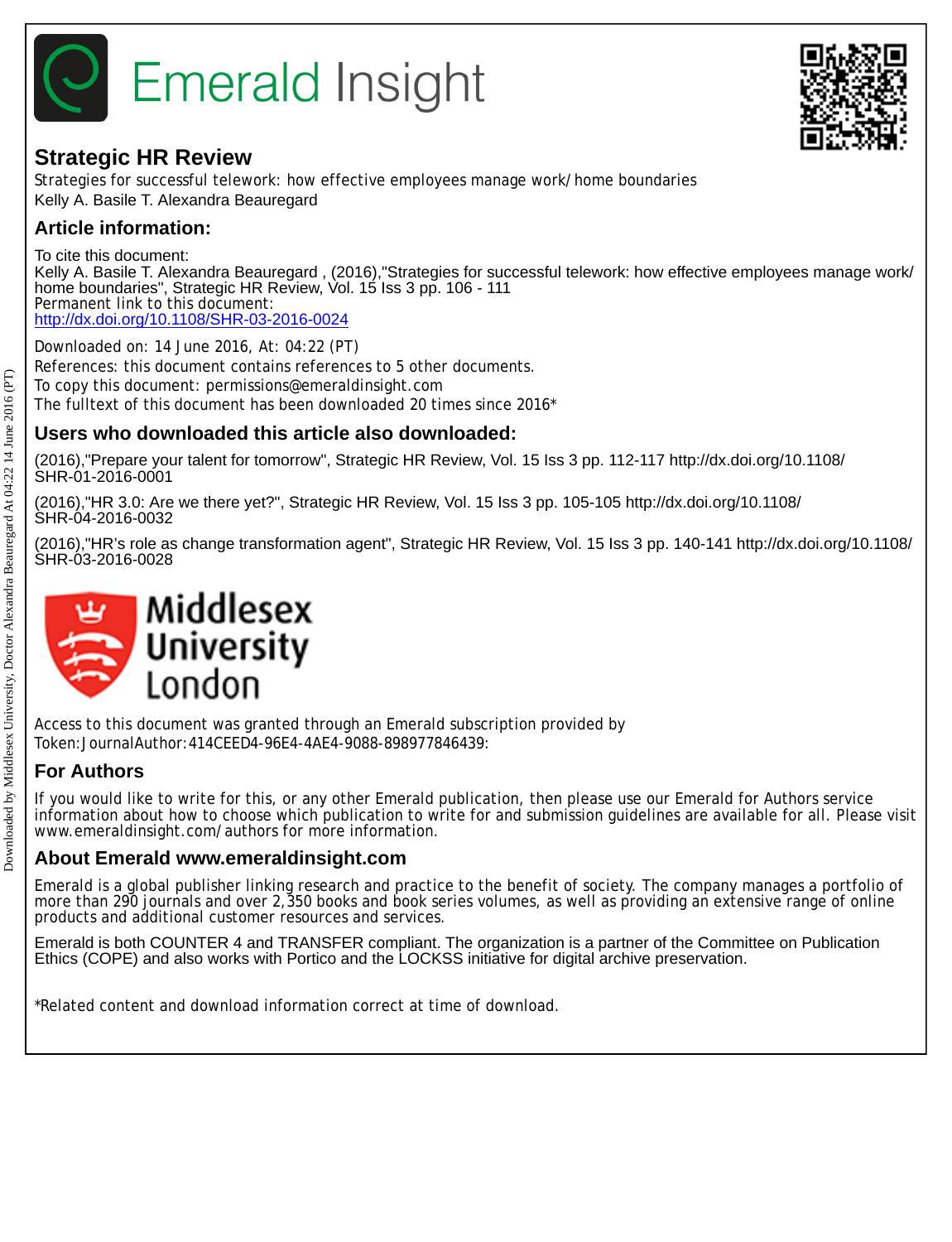

# **Strategic HR Review**

Strategies for successful telework: how effective employees manage work/home boundaries Kelly A. Basile T. Alexandra Beauregard

## **Article information:**

To cite this document: Kelly A. Basile T. Alexandra Beauregard , (2016),"Strategies for successful telework: how effective employees manage work/ home boundaries", Strategic HR Review, Vol. 15 Iss 3 pp. 106 - 111 Permanent link to this document: <http://dx.doi.org/10.1108/SHR-03-2016-0024>

Downloaded on: 14 June 2016, At: 04:22 (PT) References: this document contains references to 5 other documents. To copy this document: permissions@emeraldinsight.com The fulltext of this document has been downloaded 20 times since 2016\*

## **Users who downloaded this article also downloaded:**

(2016),"Prepare your talent for tomorrow", Strategic HR Review, Vol. 15 Iss 3 pp. 112-117 http://dx.doi.org/10.1108/ SHR-01-2016-0001

(2016),"HR 3.0: Are we there yet?", Strategic HR Review, Vol. 15 Iss 3 pp. 105-105 http://dx.doi.org/10.1108/ SHR-04-2016-0032

(2016),"HR's role as change transformation agent", Strategic HR Review, Vol. 15 Iss 3 pp. 140-141 http://dx.doi.org/10.1108/ SHR-03-2016-0028



Access to this document was granted through an Emerald subscription provided by Token:JournalAuthor:414CEED4-96E4-4AE4-9088-898977846439:

## **For Authors**

If you would like to write for this, or any other Emerald publication, then please use our Emerald for Authors service information about how to choose which publication to write for and submission guidelines are available for all. Please visit www.emeraldinsight.com/authors for more information.

## **About Emerald www.emeraldinsight.com**

Emerald is a global publisher linking research and practice to the benefit of society. The company manages a portfolio of more than 290 journals and over 2,350 books and book series volumes, as well as providing an extensive range of online products and additional customer resources and services.

Emerald is both COUNTER 4 and TRANSFER compliant. The organization is a partner of the Committee on Publication Ethics (COPE) and also works with Portico and the LOCKSS initiative for digital archive preservation.

\*Related content and download information correct at time of download.

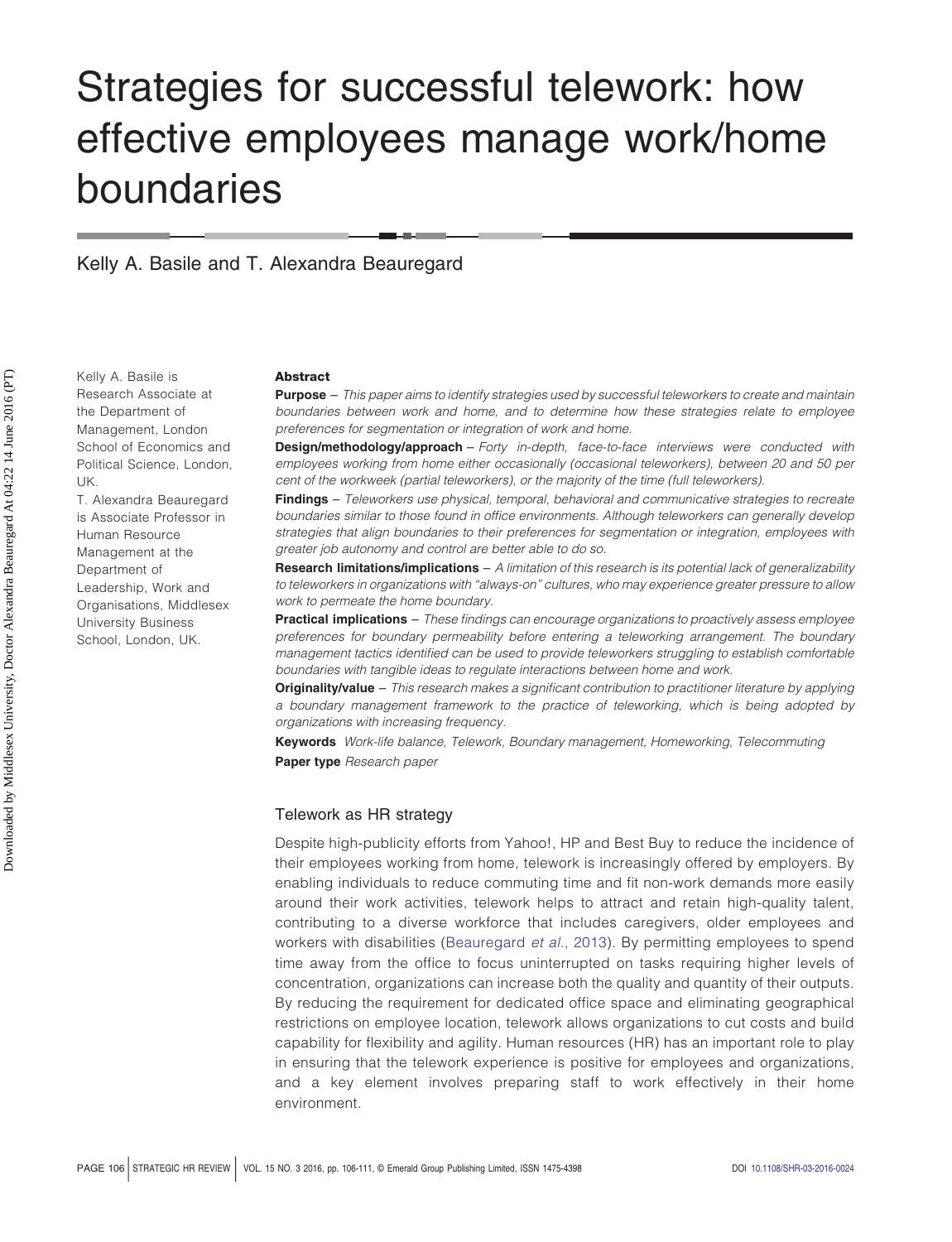# Strategies for successful telework: how effective employees manage work/home boundaries

Kelly A. Basile and T. Alexandra Beauregard

Kelly A. Basile is Research Associate at the Department of Management, London School of Economics and Political Science, London, UK.

T. Alexandra Beauregard is Associate Professor in Human Resource Management at the Department of Leadership, Work and Organisations, Middlesex University Business School, London, UK.

#### **Abstract**

**Purpose** – *This paper aims to identify strategies used by successful teleworkers to create and maintain boundaries between work and home, and to determine how these strategies relate to employee preferences for segmentation or integration of work and home.*

**Design/methodology/approach** – *Forty in-depth, face-to-face interviews were conducted with employees working from home either occasionally (occasional teleworkers), between 20 and 50 per cent of the workweek (partial teleworkers), or the majority of the time (full teleworkers).*

**Findings** – *Teleworkers use physical, temporal, behavioral and communicative strategies to recreate boundaries similar to those found in office environments. Although teleworkers can generally develop strategies that align boundaries to their preferences for segmentation or integration, employees with greater job autonomy and control are better able to do so.*

**Research limitations/implications** – *A limitation of this research is its potential lack of generalizability to teleworkers in organizations with "always-on" cultures, who may experience greater pressure to allow work to permeate the home boundary.*

**Practical implications** – *These findings can encourage organizations to proactively assess employee preferences for boundary permeability before entering a teleworking arrangement. The boundary management tactics identified can be used to provide teleworkers struggling to establish comfortable boundaries with tangible ideas to regulate interactions between home and work.*

**Originality/value** – *This research makes a significant contribution to practitioner literature by applying a boundary management framework to the practice of teleworking, which is being adopted by organizations with increasing frequency.*

**Keywords** *Work-life balance, Telework, Boundary management, Homeworking, Telecommuting* **Paper type** *Research paper*

#### Telework as HR strategy

Despite high-publicity efforts from Yahoo!, HP and Best Buy to reduce the incidence of their employees working from home, telework is increasingly offered by employers. By enabling individuals to reduce commuting time and fit non-work demands more easily around their work activities, telework helps to attract and retain high-quality talent, contributing to a diverse workforce that includes caregivers, older employees and workers with disabilities [\(Beauregard](#page-6-0) *et al.*, 2013). By permitting employees to spend time away from the office to focus uninterrupted on tasks requiring higher levels of concentration, organizations can increase both the quality and quantity of their outputs. By reducing the requirement for dedicated office space and eliminating geographical restrictions on employee location, telework allows organizations to cut costs and build capability for flexibility and agility. Human resources (HR) has an important role to play in ensuring that the telework experience is positive for employees and organizations, and a key element involves preparing staff to work effectively in their home environment.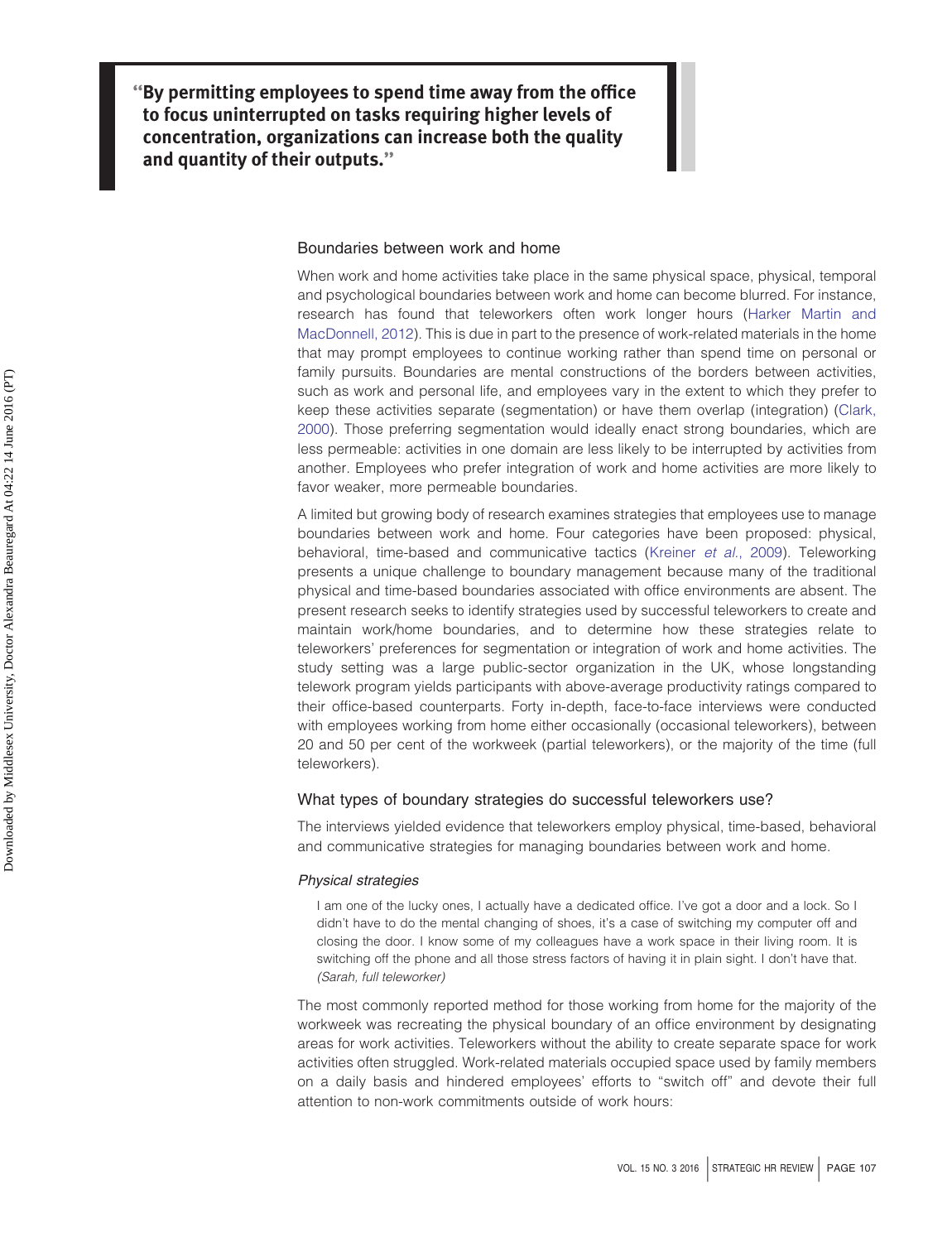**''By permitting employees to spend time away from the office to focus uninterrupted on tasks requiring higher levels of concentration, organizations can increase both the quality and quantity of their outputs.''**

#### Boundaries between work and home

When work and home activities take place in the same physical space, physical, temporal and psychological boundaries between work and home can become blurred. For instance, research has found that teleworkers often work longer hours [\(Harker Martin and](#page-6-1) [MacDonnell, 2012\)](#page-6-1). This is due in part to the presence of work-related materials in the home that may prompt employees to continue working rather than spend time on personal or family pursuits. Boundaries are mental constructions of the borders between activities, such as work and personal life, and employees vary in the extent to which they prefer to keep these activities separate (segmentation) or have them overlap (integration) [\(Clark,](#page-6-2) [2000\)](#page-6-2). Those preferring segmentation would ideally enact strong boundaries, which are less permeable: activities in one domain are less likely to be interrupted by activities from another. Employees who prefer integration of work and home activities are more likely to favor weaker, more permeable boundaries.

A limited but growing body of research examines strategies that employees use to manage boundaries between work and home. Four categories have been proposed: physical, behavioral, time-based and communicative tactics [\(Kreiner](#page-7-0) *et al.*, 2009). Teleworking presents a unique challenge to boundary management because many of the traditional physical and time-based boundaries associated with office environments are absent. The present research seeks to identify strategies used by successful teleworkers to create and maintain work/home boundaries, and to determine how these strategies relate to teleworkers' preferences for segmentation or integration of work and home activities. The study setting was a large public-sector organization in the UK, whose longstanding telework program yields participants with above-average productivity ratings compared to their office-based counterparts. Forty in-depth, face-to-face interviews were conducted with employees working from home either occasionally (occasional teleworkers), between 20 and 50 per cent of the workweek (partial teleworkers), or the majority of the time (full teleworkers).

#### What types of boundary strategies do successful teleworkers use?

The interviews yielded evidence that teleworkers employ physical, time-based, behavioral and communicative strategies for managing boundaries between work and home.

#### *Physical strategies*

I am one of the lucky ones, I actually have a dedicated office. I've got a door and a lock. So I didn't have to do the mental changing of shoes, it's a case of switching my computer off and closing the door. I know some of my colleagues have a work space in their living room. It is switching off the phone and all those stress factors of having it in plain sight. I don't have that. *(Sarah, full teleworker)*

The most commonly reported method for those working from home for the majority of the workweek was recreating the physical boundary of an office environment by designating areas for work activities. Teleworkers without the ability to create separate space for work activities often struggled. Work-related materials occupied space used by family members on a daily basis and hindered employees' efforts to "switch off" and devote their full attention to non-work commitments outside of work hours: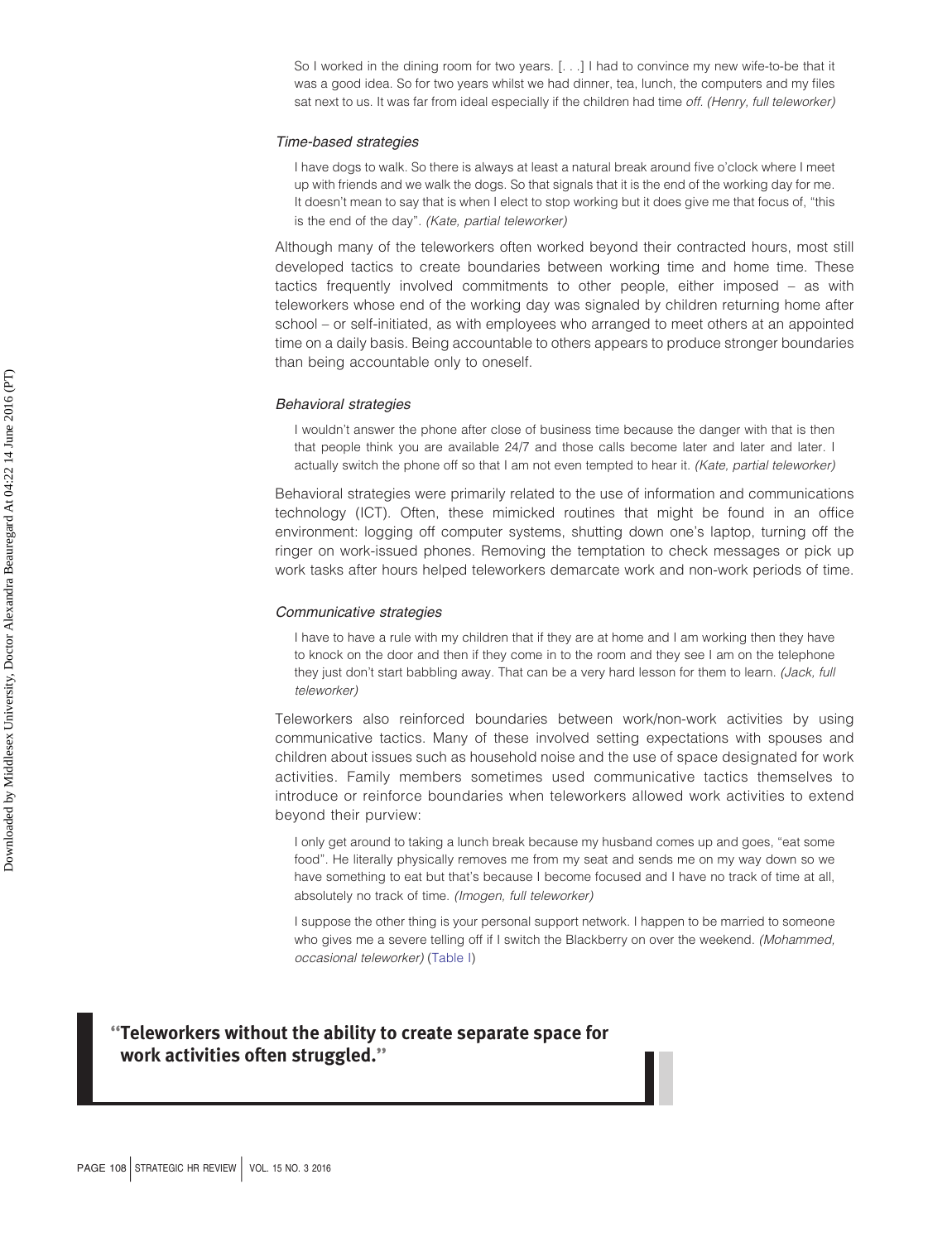So I worked in the dining room for two years. [. . .] I had to convince my new wife-to-be that it was a good idea. So for two years whilst we had dinner, tea, lunch, the computers and my files sat next to us. It was far from ideal especially if the children had time *off. (Henry, full teleworker)*

#### *Time-based strategies*

I have dogs to walk. So there is always at least a natural break around five o'clock where I meet up with friends and we walk the dogs. So that signals that it is the end of the working day for me. It doesn't mean to say that is when I elect to stop working but it does give me that focus of, "this is the end of the day"*. (Kate, partial teleworker)*

Although many of the teleworkers often worked beyond their contracted hours, most still developed tactics to create boundaries between working time and home time. These tactics frequently involved commitments to other people, either imposed – as with teleworkers whose end of the working day was signaled by children returning home after school – or self-initiated, as with employees who arranged to meet others at an appointed time on a daily basis. Being accountable to others appears to produce stronger boundaries than being accountable only to oneself.

#### *Behavioral strategies*

I wouldn't answer the phone after close of business time because the danger with that is then that people think you are available 24/7 and those calls become later and later and later. I actually switch the phone off so that I am not even tempted to hear it. *(Kate, partial teleworker)*

Behavioral strategies were primarily related to the use of information and communications technology (ICT). Often, these mimicked routines that might be found in an office environment: logging off computer systems, shutting down one's laptop, turning off the ringer on work-issued phones. Removing the temptation to check messages or pick up work tasks after hours helped teleworkers demarcate work and non-work periods of time.

#### *Communicative strategies*

I have to have a rule with my children that if they are at home and I am working then they have to knock on the door and then if they come in to the room and they see I am on the telephone they just don't start babbling away. That can be a very hard lesson for them to learn. *(Jack, full teleworker)*

Teleworkers also reinforced boundaries between work/non-work activities by using communicative tactics. Many of these involved setting expectations with spouses and children about issues such as household noise and the use of space designated for work activities. Family members sometimes used communicative tactics themselves to introduce or reinforce boundaries when teleworkers allowed work activities to extend beyond their purview:

I only get around to taking a lunch break because my husband comes up and goes, "eat some food". He literally physically removes me from my seat and sends me on my way down so we have something to eat but that's because I become focused and I have no track of time at all, absolutely no track of time. *(Imogen, full teleworker)*

I suppose the other thing is your personal support network. I happen to be married to someone who gives me a severe telling off if I switch the Blackberry on over the weekend. *(Mohammed, occasional teleworker)* [\(Table I\)](#page-5-0)

### **''Teleworkers without the ability to create separate space for work activities often struggled.''**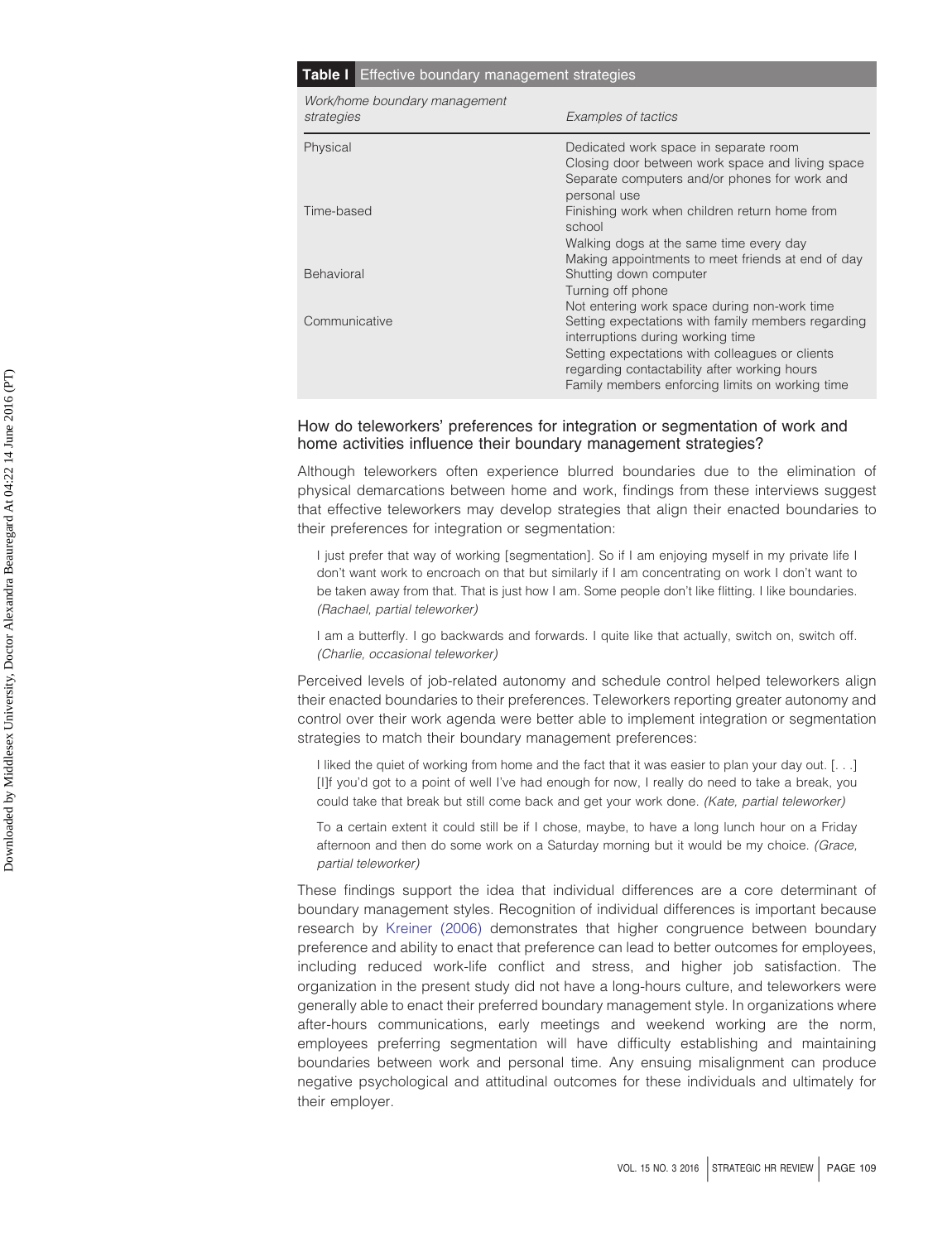#### <span id="page-5-0"></span>**Table I** Effective boundary management strategies

| Work/home boundary management<br>strategies | Examples of tactics                                                                                                                                                                                                                           |
|---------------------------------------------|-----------------------------------------------------------------------------------------------------------------------------------------------------------------------------------------------------------------------------------------------|
| Physical                                    | Dedicated work space in separate room<br>Closing door between work space and living space<br>Separate computers and/or phones for work and<br>personal use                                                                                    |
| Time-based                                  | Finishing work when children return home from<br>school<br>Walking dogs at the same time every day<br>Making appointments to meet friends at end of day                                                                                       |
| Behavioral                                  | Shutting down computer<br>Turning off phone<br>Not entering work space during non-work time                                                                                                                                                   |
| Communicative                               | Setting expectations with family members regarding<br>interruptions during working time<br>Setting expectations with colleagues or clients<br>regarding contactability after working hours<br>Family members enforcing limits on working time |
|                                             |                                                                                                                                                                                                                                               |

#### How do teleworkers' preferences for integration or segmentation of work and home activities influence their boundary management strategies?

Although teleworkers often experience blurred boundaries due to the elimination of physical demarcations between home and work, findings from these interviews suggest that effective teleworkers may develop strategies that align their enacted boundaries to their preferences for integration or segmentation:

I just prefer that way of working [segmentation]. So if I am enjoying myself in my private life I don't want work to encroach on that but similarly if I am concentrating on work I don't want to be taken away from that. That is just how I am. Some people don't like flitting. I like boundaries. *(Rachael, partial teleworker)*

I am a butterfly. I go backwards and forwards. I quite like that actually, switch on, switch off. *(Charlie, occasional teleworker)*

Perceived levels of job-related autonomy and schedule control helped teleworkers align their enacted boundaries to their preferences. Teleworkers reporting greater autonomy and control over their work agenda were better able to implement integration or segmentation strategies to match their boundary management preferences:

I liked the quiet of working from home and the fact that it was easier to plan your day out. [. . .] [I]f you'd got to a point of well I've had enough for now, I really do need to take a break, you could take that break but still come back and get your work done. *(Kate, partial teleworker)*

To a certain extent it could still be if I chose, maybe, to have a long lunch hour on a Friday afternoon and then do some work on a Saturday morning but it would be my choice. *(Grace, partial teleworker)*

These findings support the idea that individual differences are a core determinant of boundary management styles. Recognition of individual differences is important because research by [Kreiner \(2006\)](#page-7-1) demonstrates that higher congruence between boundary preference and ability to enact that preference can lead to better outcomes for employees, including reduced work-life conflict and stress, and higher job satisfaction. The organization in the present study did not have a long-hours culture, and teleworkers were generally able to enact their preferred boundary management style. In organizations where after-hours communications, early meetings and weekend working are the norm, employees preferring segmentation will have difficulty establishing and maintaining boundaries between work and personal time. Any ensuing misalignment can produce negative psychological and attitudinal outcomes for these individuals and ultimately for their employer.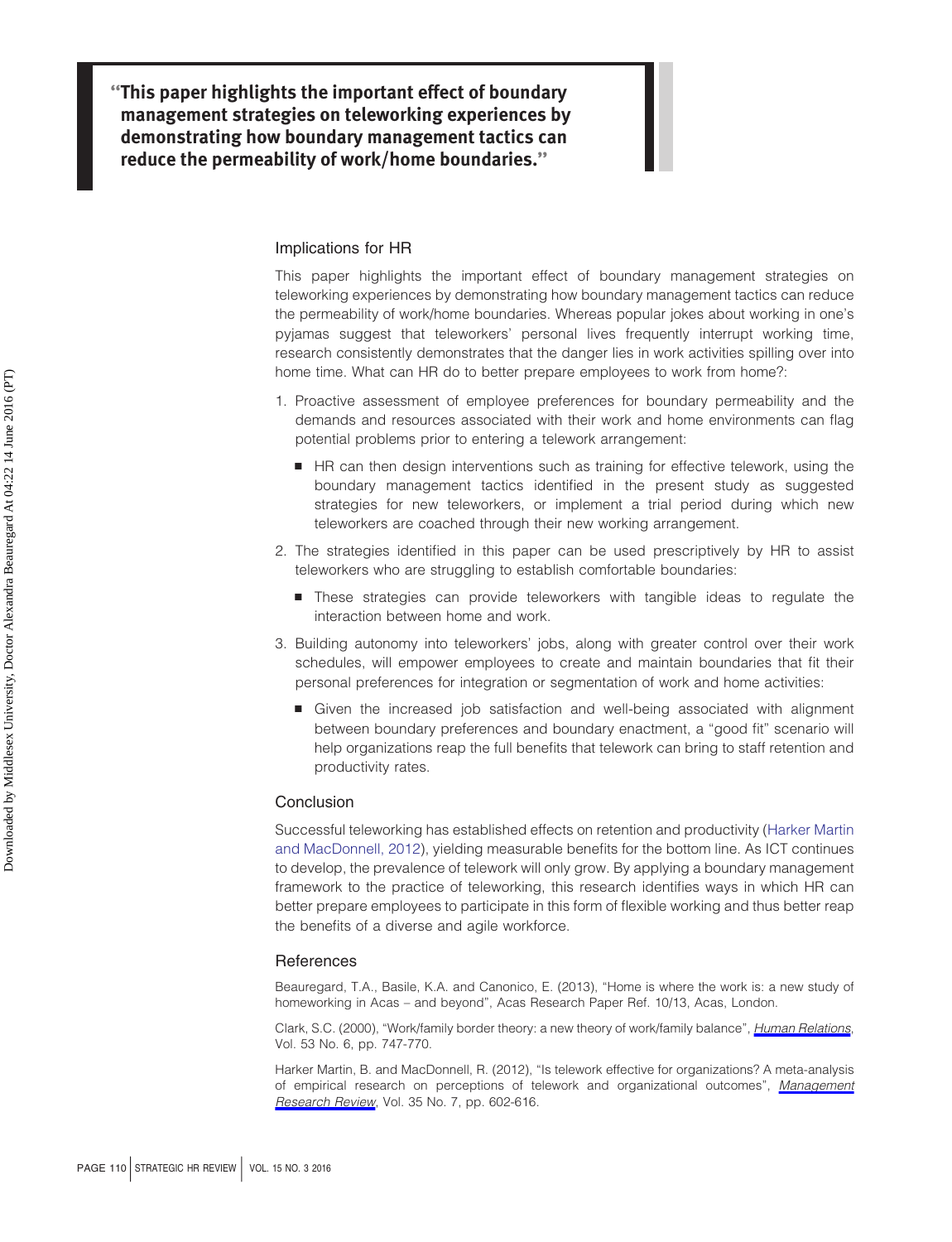**''This paper highlights the important effect of boundary management strategies on teleworking experiences by demonstrating how boundary management tactics can reduce the permeability of work/home boundaries.''**

#### Implications for HR

This paper highlights the important effect of boundary management strategies on teleworking experiences by demonstrating how boundary management tactics can reduce the permeability of work/home boundaries. Whereas popular jokes about working in one's pyjamas suggest that teleworkers' personal lives frequently interrupt working time, research consistently demonstrates that the danger lies in work activities spilling over into home time. What can HR do to better prepare employees to work from home?:

- 1. Proactive assessment of employee preferences for boundary permeability and the demands and resources associated with their work and home environments can flag potential problems prior to entering a telework arrangement:
	- HR can then design interventions such as training for effective telework, using the boundary management tactics identified in the present study as suggested strategies for new teleworkers, or implement a trial period during which new teleworkers are coached through their new working arrangement.
- 2. The strategies identified in this paper can be used prescriptively by HR to assist teleworkers who are struggling to establish comfortable boundaries:
	- These strategies can provide teleworkers with tangible ideas to regulate the interaction between home and work.
- 3. Building autonomy into teleworkers' jobs, along with greater control over their work schedules, will empower employees to create and maintain boundaries that fit their personal preferences for integration or segmentation of work and home activities:
	- **E** Given the increased job satisfaction and well-being associated with alignment between boundary preferences and boundary enactment, a "good fit" scenario will help organizations reap the full benefits that telework can bring to staff retention and productivity rates.

#### **Conclusion**

Successful teleworking has established effects on retention and productivity [\(Harker Martin](#page-6-1) [and MacDonnell, 2012\)](#page-6-1), yielding measurable benefits for the bottom line. As ICT continues to develop, the prevalence of telework will only grow. By applying a boundary management framework to the practice of teleworking, this research identifies ways in which HR can better prepare employees to participate in this form of flexible working and thus better reap the benefits of a diverse and agile workforce.

#### References

<span id="page-6-0"></span>Beauregard, T.A., Basile, K.A. and Canonico, E. (2013), "Home is where the work is: a new study of homeworking in Acas – and beyond", Acas Research Paper Ref. 10/13, Acas, London.

<span id="page-6-2"></span>Clark, S.C. (2000), "Work/family border theory: a new theory of work/family balance", *[Human Relations](http://www.emeraldinsight.com/action/showLinks?crossref=10.1177%2F0018726700536001&isi=000089347100001)*, Vol. 53 No. 6, pp. 747-770.

<span id="page-6-1"></span>Harker Martin, B. and MacDonnell, R. (2012), "Is telework effective for organizations? A meta-analysis of empirical research on perceptions of telework and organizational outcomes", *[Management](http://www.emeraldinsight.com/action/showLinks?system=10.1108%2F01409171211238820) [Research Review](http://www.emeraldinsight.com/action/showLinks?system=10.1108%2F01409171211238820)*, Vol. 35 No. 7, pp. 602-616.